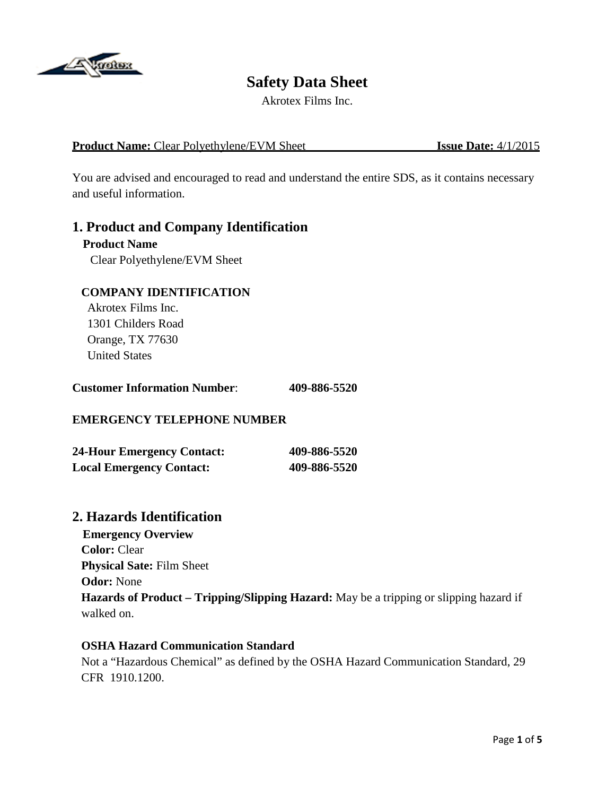

# **Safety Data Sheet**

Akrotex Films Inc.

#### **Product Name:** Clear Polyethylene/EVM Sheet **Issue Date:**  $4/1/2015$

You are advised and encouraged to read and understand the entire SDS, as it contains necessary and useful information.

### **1. Product and Company Identification**

#### **Product Name**

Clear Polyethylene/EVM Sheet

#### **COMPANY IDENTIFICATION**

 Akrotex Films Inc. 1301 Childers Road Orange, TX 77630 United States

| <b>Customer Information Number:</b> | 409-886-5520 |
|-------------------------------------|--------------|
|-------------------------------------|--------------|

### **EMERGENCY TELEPHONE NUMBER**

| <b>24-Hour Emergency Contact:</b> | 409-886-5520 |
|-----------------------------------|--------------|
| <b>Local Emergency Contact:</b>   | 409-886-5520 |

### **2. Hazards Identification**

 **Emergency Overview Color:** Clear  **Physical Sate:** Film Sheet  **Odor:** None **Hazards of Product – Tripping/Slipping Hazard:** May be a tripping or slipping hazard if walked on.

#### **OSHA Hazard Communication Standard**

Not a "Hazardous Chemical" as defined by the OSHA Hazard Communication Standard, 29 CFR 1910.1200.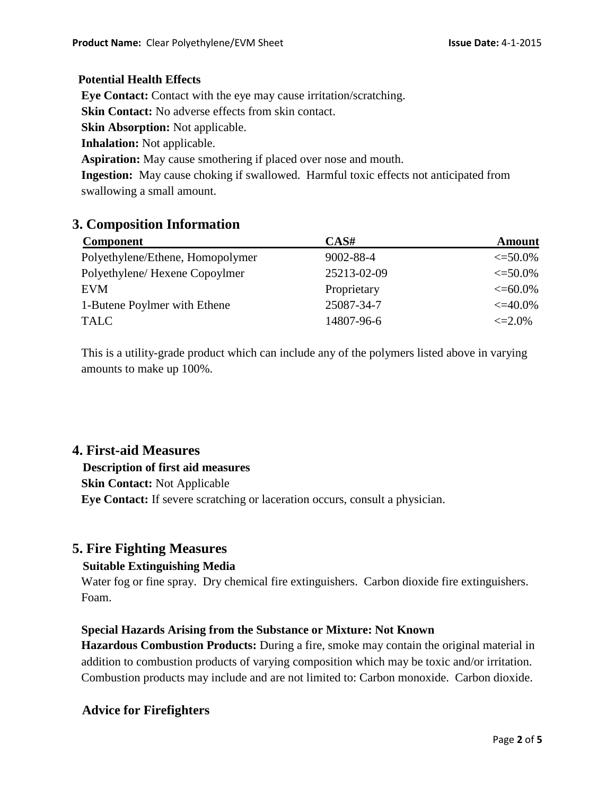#### **Potential Health Effects**

 **Eye Contact:** Contact with the eye may cause irritation/scratching.

**Skin Contact:** No adverse effects from skin contact.

 **Skin Absorption:** Not applicable.

 **Inhalation:** Not applicable.

**Aspiration:** May cause smothering if placed over nose and mouth.

 **Ingestion:** May cause choking if swallowed. Harmful toxic effects not anticipated from swallowing a small amount.

## **3. Composition Information**

| CAS#        | <b>Amount</b> |
|-------------|---------------|
| 9002-88-4   | $\leq 50.0\%$ |
| 25213-02-09 | $\leq 50.0\%$ |
| Proprietary | $\leq 60.0\%$ |
| 25087-34-7  | $\leq 40.0\%$ |
| 14807-96-6  | $\leq 2.0\%$  |
|             |               |

 This is a utility-grade product which can include any of the polymers listed above in varying amounts to make up 100%.

## **4. First-aid Measures**

### **Description of first aid measures**

 **Skin Contact:** Not Applicable

**Eye Contact:** If severe scratching or laceration occurs, consult a physician.

## **5. Fire Fighting Measures**

### **Suitable Extinguishing Media**

Water fog or fine spray. Dry chemical fire extinguishers. Carbon dioxide fire extinguishers. Foam.

### **Special Hazards Arising from the Substance or Mixture: Not Known**

 **Hazardous Combustion Products:** During a fire, smoke may contain the original material in addition to combustion products of varying composition which may be toxic and/or irritation. Combustion products may include and are not limited to: Carbon monoxide. Carbon dioxide.

## **Advice for Firefighters**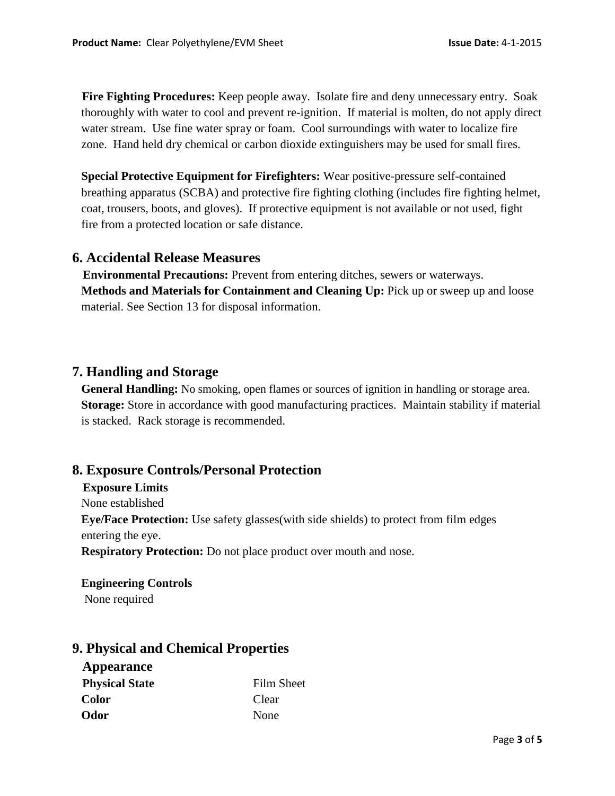**Fire Fighting Procedures:** Keep people away. Isolate fire and deny unnecessary entry. Soak thoroughly with water to cool and prevent re-ignition. If material is molten, do not apply direct water stream. Use fine water spray or foam. Cool surroundings with water to localize fire zone. Hand held dry chemical or carbon dioxide extinguishers may be used for small fires.

 **Special Protective Equipment for Firefighters:** Wear positive-pressure self-contained breathing apparatus (SCBA) and protective fire fighting clothing (includes fire fighting helmet, coat, trousers, boots, and gloves). If protective equipment is not available or not used, fight fire from a protected location or safe distance.

### **6. Accidental Release Measures**

 **Environmental Precautions:** Prevent from entering ditches, sewers or waterways. **Methods and Materials for Containment and Cleaning Up: Pick up or sweep up and loose** material. See Section 13 for disposal information.

### **7. Handling and Storage**

 **General Handling:** No smoking, open flames or sources of ignition in handling or storage area.  **Storage:** Store in accordance with good manufacturing practices. Maintain stability if material is stacked. Rack storage is recommended.

### **8. Exposure Controls/Personal Protection**

#### **Exposure Limits**

None established

 **Eye/Face Protection:** Use safety glasses(with side shields) to protect from film edges entering the eye.

**Respiratory Protection:** Do not place product over mouth and nose.

#### **Engineering Controls**

None required

## **9. Physical and Chemical Properties**

| <b>Appearance</b>     |            |
|-----------------------|------------|
| <b>Physical State</b> | Film Sheet |
| <b>Color</b>          | Clear      |
| Odor                  | None       |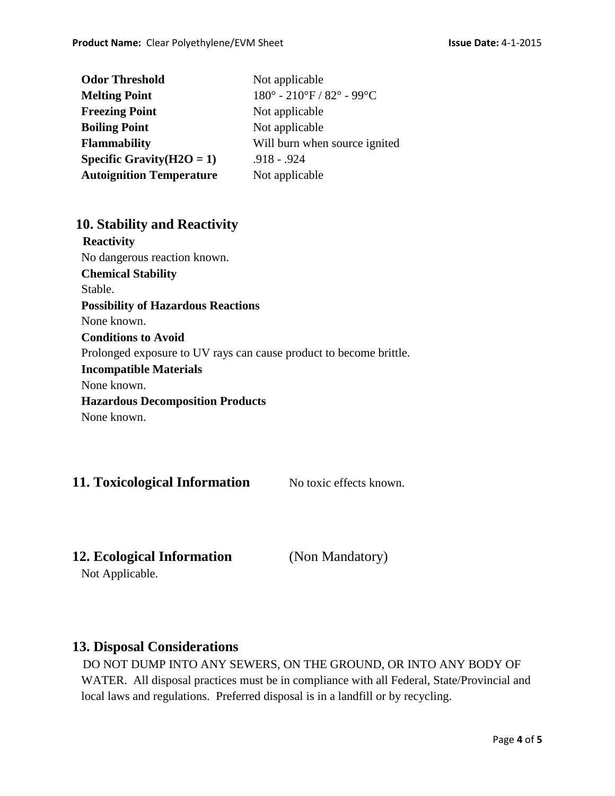| <b>Odor Threshold</b>           | Not applicable                                                   |
|---------------------------------|------------------------------------------------------------------|
| <b>Melting Point</b>            | $180^{\circ}$ - $210^{\circ}$ F / $82^{\circ}$ - 99 $^{\circ}$ C |
| <b>Freezing Point</b>           | Not applicable                                                   |
| <b>Boiling Point</b>            | Not applicable                                                   |
| <b>Flammability</b>             | Will burn when source ignited                                    |
| Specific Gravity $(H2O = 1)$    | $.918 - .924$                                                    |
| <b>Autoignition Temperature</b> | Not applicable                                                   |

### **10. Stability and Reactivity**

 **Reactivity** No dangerous reaction known. **Chemical Stability** Stable. **Possibility of Hazardous Reactions** None known. **Conditions to Avoid** Prolonged exposure to UV rays can cause product to become brittle.  **Incompatible Materials** None known. **Hazardous Decomposition Products** None known.

## **11. Toxicological Information** No toxic effects known.

## **12. Ecological Information** (Non Mandatory)

Not Applicable.

## **13. Disposal Considerations**

DO NOT DUMP INTO ANY SEWERS, ON THE GROUND, OR INTO ANY BODY OF WATER. All disposal practices must be in compliance with all Federal, State/Provincial and local laws and regulations. Preferred disposal is in a landfill or by recycling.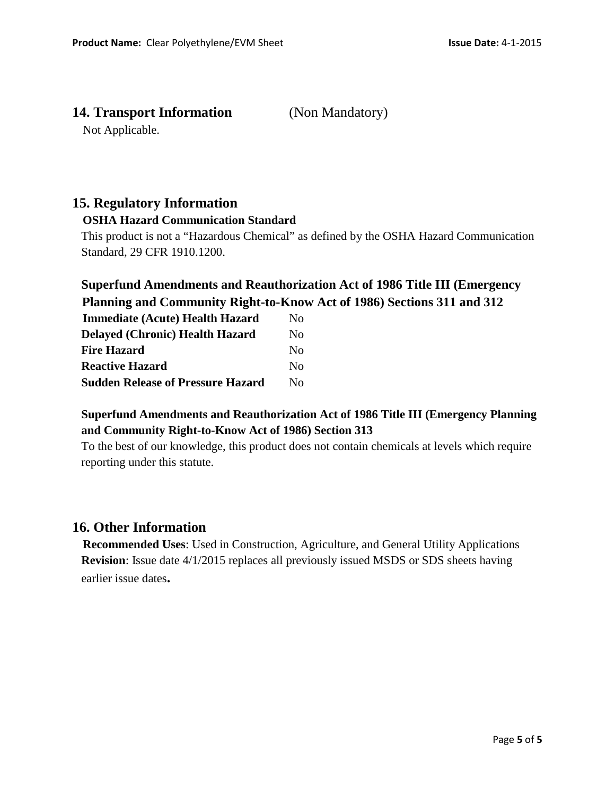## **14. Transport Information** (Non Mandatory)

Not Applicable.

## **15. Regulatory Information**

#### **OSHA Hazard Communication Standard**

 This product is not a "Hazardous Chemical" as defined by the OSHA Hazard Communication Standard, 29 CFR 1910.1200.

## **Superfund Amendments and Reauthorization Act of 1986 Title III (Emergency Planning and Community Right-to-Know Act of 1986) Sections 311 and 312**

| <b>Immediate (Acute) Health Hazard</b>   | Nο                     |
|------------------------------------------|------------------------|
| <b>Delayed (Chronic) Health Hazard</b>   | Nο                     |
| <b>Fire Hazard</b>                       | Nο                     |
| <b>Reactive Hazard</b>                   | $\mathbf{N}\mathbf{O}$ |
| <b>Sudden Release of Pressure Hazard</b> | $N_{\Omega}$           |

### **Superfund Amendments and Reauthorization Act of 1986 Title III (Emergency Planning and Community Right-to-Know Act of 1986) Section 313**

To the best of our knowledge, this product does not contain chemicals at levels which require reporting under this statute.

## **16. Other Information**

 **Recommended Uses**: Used in Construction, Agriculture, and General Utility Applications **Revision**: Issue date 4/1/2015 replaces all previously issued MSDS or SDS sheets having earlier issue dates**.**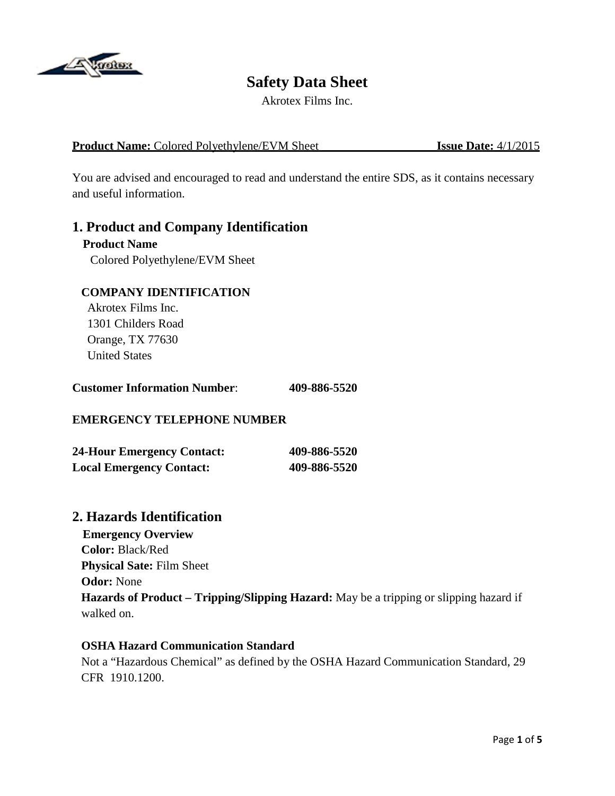

# **Safety Data Sheet**

Akrotex Films Inc.

#### **Product Name:** Colored Polyethylene/EVM Sheet **Issue Date:**  $4/1/2015$

You are advised and encouraged to read and understand the entire SDS, as it contains necessary and useful information.

### **1. Product and Company Identification**

# **Product Name**

Colored Polyethylene/EVM Sheet

#### **COMPANY IDENTIFICATION**

 Akrotex Films Inc. 1301 Childers Road Orange, TX 77630 United States

| <b>Customer Information Number:</b> |  | 409-886-5520 |
|-------------------------------------|--|--------------|
|-------------------------------------|--|--------------|

### **EMERGENCY TELEPHONE NUMBER**

| <b>24-Hour Emergency Contact:</b> | 409-886-5520 |
|-----------------------------------|--------------|
| <b>Local Emergency Contact:</b>   | 409-886-5520 |

### **2. Hazards Identification**

 **Emergency Overview Color:** Black/Red  **Physical Sate:** Film Sheet  **Odor:** None **Hazards of Product – Tripping/Slipping Hazard:** May be a tripping or slipping hazard if walked on.

#### **OSHA Hazard Communication Standard**

Not a "Hazardous Chemical" as defined by the OSHA Hazard Communication Standard, 29 CFR 1910.1200.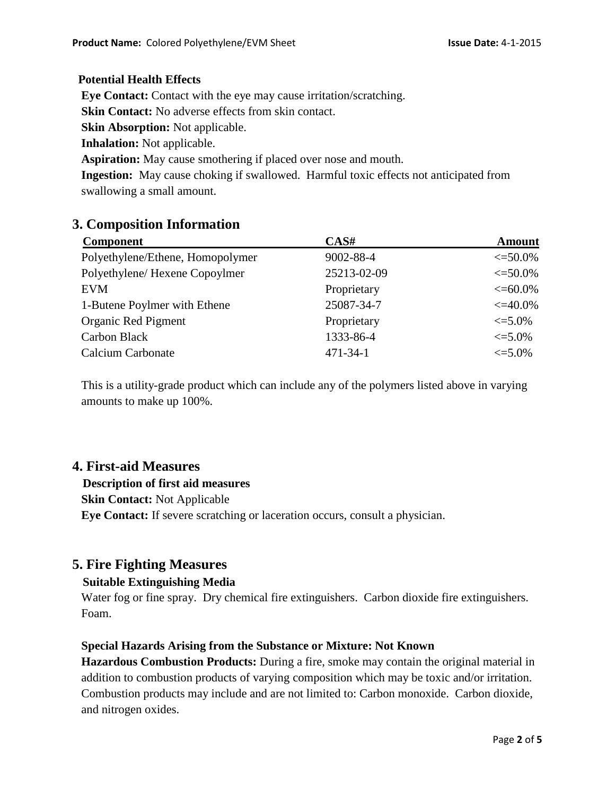#### **Potential Health Effects**

 **Eye Contact:** Contact with the eye may cause irritation/scratching.

**Skin Contact:** No adverse effects from skin contact.

 **Skin Absorption:** Not applicable.

 **Inhalation:** Not applicable.

**Aspiration:** May cause smothering if placed over nose and mouth.

 **Ingestion:** May cause choking if swallowed. Harmful toxic effects not anticipated from swallowing a small amount.

## **3. Composition Information**

| <b>Component</b>                 | CAS#           | <b>Amount</b> |
|----------------------------------|----------------|---------------|
| Polyethylene/Ethene, Homopolymer | 9002-88-4      | $\leq 50.0\%$ |
| Polyethylene/Hexene Copoylmer    | 25213-02-09    | $\leq 50.0\%$ |
| EVM                              | Proprietary    | $\leq 60.0\%$ |
| 1-Butene Poylmer with Ethene     | 25087-34-7     | $\leq 40.0\%$ |
| Organic Red Pigment              | Proprietary    | $\leq 5.0\%$  |
| <b>Carbon Black</b>              | 1333-86-4      | $\leq 5.0\%$  |
| Calcium Carbonate                | $471 - 34 - 1$ | $\leq 5.0\%$  |

 This is a utility-grade product which can include any of the polymers listed above in varying amounts to make up 100%.

## **4. First-aid Measures**

### **Description of first aid measures**

 **Skin Contact:** Not Applicable

**Eye Contact:** If severe scratching or laceration occurs, consult a physician.

## **5. Fire Fighting Measures**

### **Suitable Extinguishing Media**

Water fog or fine spray. Dry chemical fire extinguishers. Carbon dioxide fire extinguishers. Foam.

### **Special Hazards Arising from the Substance or Mixture: Not Known**

 **Hazardous Combustion Products:** During a fire, smoke may contain the original material in addition to combustion products of varying composition which may be toxic and/or irritation. Combustion products may include and are not limited to: Carbon monoxide. Carbon dioxide, and nitrogen oxides.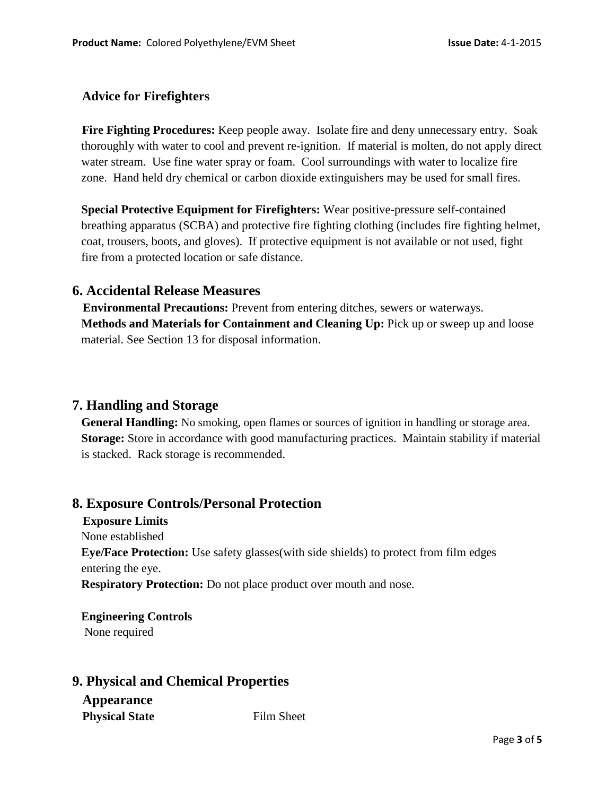### **Advice for Firefighters**

 **Fire Fighting Procedures:** Keep people away. Isolate fire and deny unnecessary entry. Soak thoroughly with water to cool and prevent re-ignition. If material is molten, do not apply direct water stream. Use fine water spray or foam. Cool surroundings with water to localize fire zone. Hand held dry chemical or carbon dioxide extinguishers may be used for small fires.

 **Special Protective Equipment for Firefighters:** Wear positive-pressure self-contained breathing apparatus (SCBA) and protective fire fighting clothing (includes fire fighting helmet, coat, trousers, boots, and gloves). If protective equipment is not available or not used, fight fire from a protected location or safe distance.

### **6. Accidental Release Measures**

 **Environmental Precautions:** Prevent from entering ditches, sewers or waterways. **Methods and Materials for Containment and Cleaning Up:** Pick up or sweep up and loose material. See Section 13 for disposal information.

## **7. Handling and Storage**

 **General Handling:** No smoking, open flames or sources of ignition in handling or storage area.  **Storage:** Store in accordance with good manufacturing practices. Maintain stability if material is stacked. Rack storage is recommended.

### **8. Exposure Controls/Personal Protection**

#### **Exposure Limits**

None established

 **Eye/Face Protection:** Use safety glasses(with side shields) to protect from film edges entering the eye.

**Respiratory Protection:** Do not place product over mouth and nose.

 **Engineering Controls** None required

## **9. Physical and Chemical Properties**

## **Appearance**

**Physical State** Film Sheet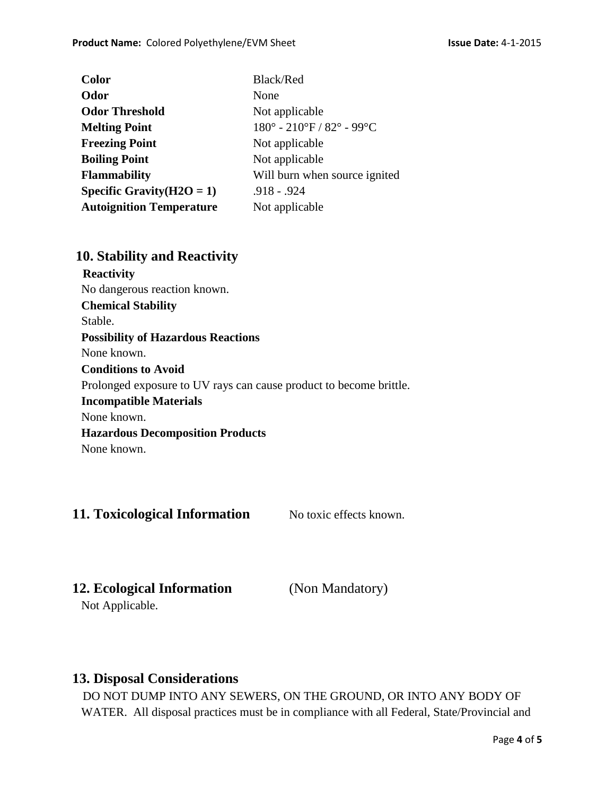| <b>Color</b>                    | <b>Black/Red</b>                                                 |
|---------------------------------|------------------------------------------------------------------|
| Odor                            | None                                                             |
| <b>Odor Threshold</b>           | Not applicable                                                   |
| <b>Melting Point</b>            | $180^{\circ}$ - $210^{\circ}$ F / $82^{\circ}$ - 99 $^{\circ}$ C |
| <b>Freezing Point</b>           | Not applicable                                                   |
| <b>Boiling Point</b>            | Not applicable                                                   |
| <b>Flammability</b>             | Will burn when source ignited                                    |
| Specific Gravity $(H2O = 1)$    | $.918 - .924$                                                    |
| <b>Autoignition Temperature</b> | Not applicable                                                   |
|                                 |                                                                  |

## **10. Stability and Reactivity**

 **Reactivity** No dangerous reaction known. **Chemical Stability** Stable. **Possibility of Hazardous Reactions** None known. **Conditions to Avoid** Prolonged exposure to UV rays can cause product to become brittle.  **Incompatible Materials** None known. **Hazardous Decomposition Products** None known.

## **11. Toxicological Information** No toxic effects known.

## **12. Ecological Information** (Non Mandatory)

Not Applicable.

## **13. Disposal Considerations**

DO NOT DUMP INTO ANY SEWERS, ON THE GROUND, OR INTO ANY BODY OF WATER. All disposal practices must be in compliance with all Federal, State/Provincial and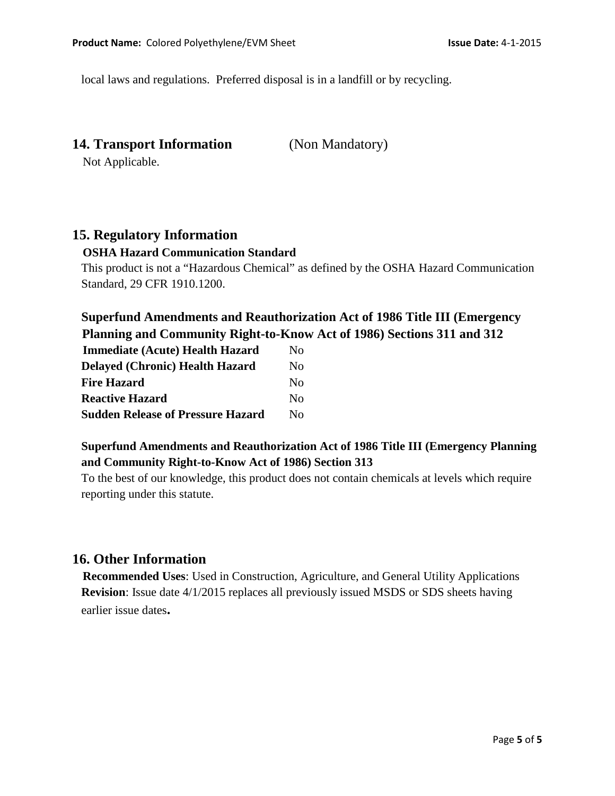local laws and regulations. Preferred disposal is in a landfill or by recycling.

**14. Transport Information** (Non Mandatory)

Not Applicable.

## **15. Regulatory Information**

#### **OSHA Hazard Communication Standard**

 This product is not a "Hazardous Chemical" as defined by the OSHA Hazard Communication Standard, 29 CFR 1910.1200.

## **Superfund Amendments and Reauthorization Act of 1986 Title III (Emergency Planning and Community Right-to-Know Act of 1986) Sections 311 and 312**

| <b>Immediate (Acute) Health Hazard</b>   | No.                |
|------------------------------------------|--------------------|
| <b>Delayed (Chronic) Health Hazard</b>   | No.                |
| <b>Fire Hazard</b>                       | $\overline{N}_{0}$ |
| <b>Reactive Hazard</b>                   | No.                |
| <b>Sudden Release of Pressure Hazard</b> | Nο                 |

## **Superfund Amendments and Reauthorization Act of 1986 Title III (Emergency Planning and Community Right-to-Know Act of 1986) Section 313**

To the best of our knowledge, this product does not contain chemicals at levels which require reporting under this statute.

## **16. Other Information**

 **Recommended Uses**: Used in Construction, Agriculture, and General Utility Applications **Revision**: Issue date 4/1/2015 replaces all previously issued MSDS or SDS sheets having earlier issue dates**.**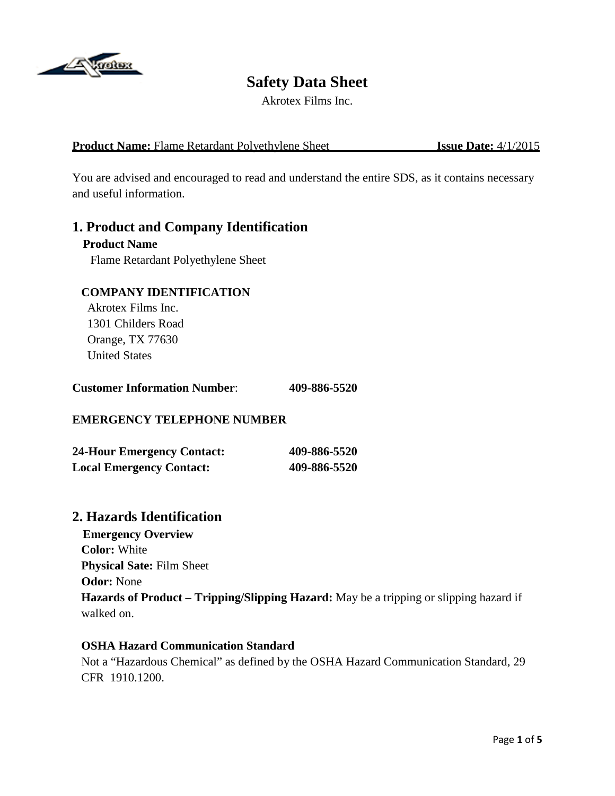

# **Safety Data Sheet**

Akrotex Films Inc.

### **Product Name:** Flame Retardant Polyethylene Sheet **Issue Date:**  $4/1/2015$

You are advised and encouraged to read and understand the entire SDS, as it contains necessary and useful information.

### **1. Product and Company Identification**

# **Product Name**

Flame Retardant Polyethylene Sheet

#### **COMPANY IDENTIFICATION**

 Akrotex Films Inc. 1301 Childers Road Orange, TX 77630 United States

| <b>Customer Information Number:</b> | 409-886-5520 |
|-------------------------------------|--------------|
|-------------------------------------|--------------|

#### **EMERGENCY TELEPHONE NUMBER**

| <b>24-Hour Emergency Contact:</b> | 409-886-5520 |
|-----------------------------------|--------------|
| <b>Local Emergency Contact:</b>   | 409-886-5520 |

### **2. Hazards Identification**

 **Emergency Overview Color:** White  **Physical Sate:** Film Sheet  **Odor:** None **Hazards of Product – Tripping/Slipping Hazard:** May be a tripping or slipping hazard if walked on.

#### **OSHA Hazard Communication Standard**

Not a "Hazardous Chemical" as defined by the OSHA Hazard Communication Standard, 29 CFR 1910.1200.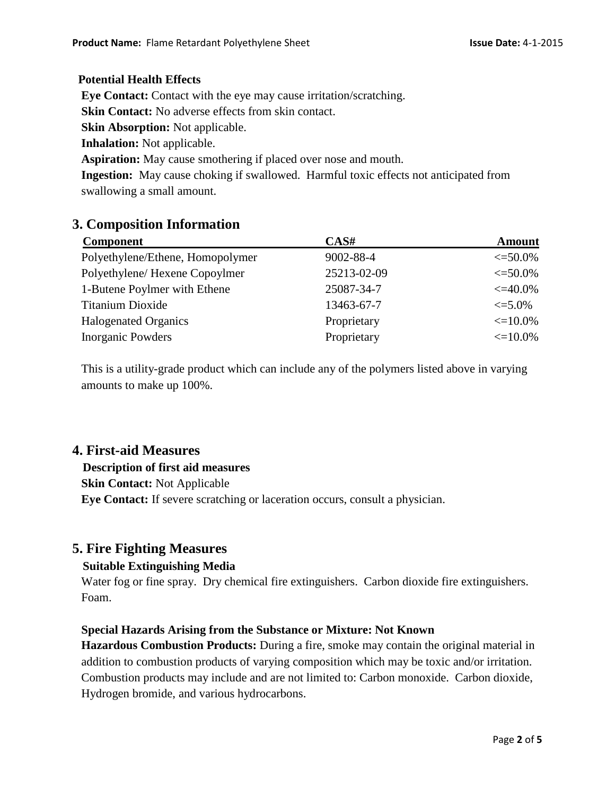#### **Potential Health Effects**

 **Eye Contact:** Contact with the eye may cause irritation/scratching.

**Skin Contact:** No adverse effects from skin contact.

 **Skin Absorption:** Not applicable.

 **Inhalation:** Not applicable.

**Aspiration:** May cause smothering if placed over nose and mouth.

 **Ingestion:** May cause choking if swallowed. Harmful toxic effects not anticipated from swallowing a small amount.

### **3. Composition Information**

| <b>Component</b>                 | CAS#        | <b>Amount</b> |
|----------------------------------|-------------|---------------|
| Polyethylene/Ethene, Homopolymer | 9002-88-4   | $\leq 50.0\%$ |
| Polyethylene/Hexene Copoylmer    | 25213-02-09 | $\leq 50.0\%$ |
| 1-Butene Poylmer with Ethene     | 25087-34-7  | $\leq 40.0\%$ |
| <b>Titanium Dioxide</b>          | 13463-67-7  | $\leq 5.0\%$  |
| <b>Halogenated Organics</b>      | Proprietary | $\leq 10.0\%$ |
| <b>Inorganic Powders</b>         | Proprietary | $\leq 10.0\%$ |

 This is a utility-grade product which can include any of the polymers listed above in varying amounts to make up 100%.

### **4. First-aid Measures**

#### **Description of first aid measures**

 **Skin Contact:** Not Applicable

**Eye Contact:** If severe scratching or laceration occurs, consult a physician.

### **5. Fire Fighting Measures**

#### **Suitable Extinguishing Media**

Water fog or fine spray. Dry chemical fire extinguishers. Carbon dioxide fire extinguishers. Foam.

#### **Special Hazards Arising from the Substance or Mixture: Not Known**

 **Hazardous Combustion Products:** During a fire, smoke may contain the original material in addition to combustion products of varying composition which may be toxic and/or irritation. Combustion products may include and are not limited to: Carbon monoxide. Carbon dioxide, Hydrogen bromide, and various hydrocarbons.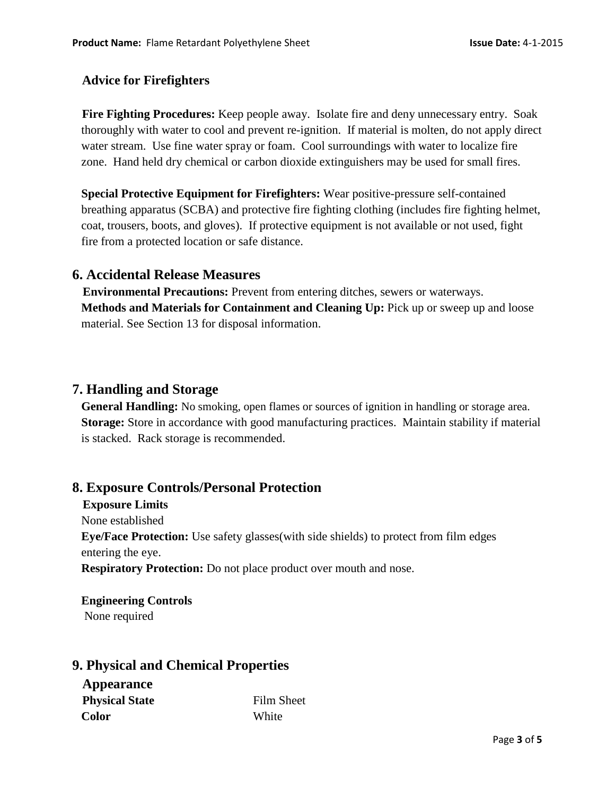### **Advice for Firefighters**

 **Fire Fighting Procedures:** Keep people away. Isolate fire and deny unnecessary entry. Soak thoroughly with water to cool and prevent re-ignition. If material is molten, do not apply direct water stream. Use fine water spray or foam. Cool surroundings with water to localize fire zone. Hand held dry chemical or carbon dioxide extinguishers may be used for small fires.

 **Special Protective Equipment for Firefighters:** Wear positive-pressure self-contained breathing apparatus (SCBA) and protective fire fighting clothing (includes fire fighting helmet, coat, trousers, boots, and gloves). If protective equipment is not available or not used, fight fire from a protected location or safe distance.

### **6. Accidental Release Measures**

 **Environmental Precautions:** Prevent from entering ditches, sewers or waterways. **Methods and Materials for Containment and Cleaning Up:** Pick up or sweep up and loose material. See Section 13 for disposal information.

## **7. Handling and Storage**

 **General Handling:** No smoking, open flames or sources of ignition in handling or storage area.  **Storage:** Store in accordance with good manufacturing practices. Maintain stability if material is stacked. Rack storage is recommended.

## **8. Exposure Controls/Personal Protection**

#### **Exposure Limits**

None established

 **Eye/Face Protection:** Use safety glasses(with side shields) to protect from film edges entering the eye.

**Respiratory Protection:** Do not place product over mouth and nose.

 **Engineering Controls** None required

## **9. Physical and Chemical Properties**

 **Appearance Physical State** Film Sheet  **Color** White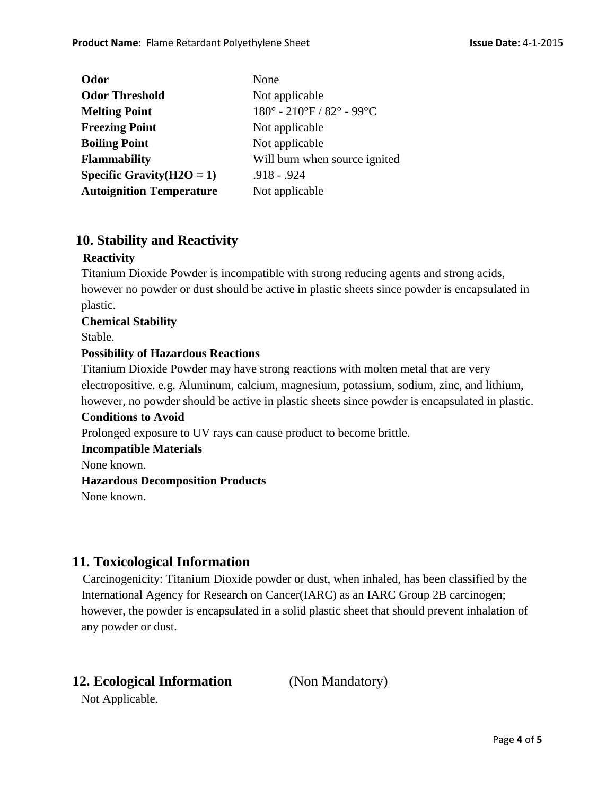| None                               |
|------------------------------------|
| Not applicable                     |
| $180^{\circ}$ - 210°F / 82° - 99°C |
| Not applicable                     |
| Not applicable                     |
| Will burn when source ignited      |
| $.918 - .924$                      |
| Not applicable                     |
|                                    |

## **10. Stability and Reactivity**

#### **Reactivity**

Titanium Dioxide Powder is incompatible with strong reducing agents and strong acids, however no powder or dust should be active in plastic sheets since powder is encapsulated in plastic.

**Chemical Stability**

Stable.

#### **Possibility of Hazardous Reactions**

Titanium Dioxide Powder may have strong reactions with molten metal that are very electropositive. e.g. Aluminum, calcium, magnesium, potassium, sodium, zinc, and lithium, however, no powder should be active in plastic sheets since powder is encapsulated in plastic.

#### **Conditions to Avoid**

Prolonged exposure to UV rays can cause product to become brittle.

#### **Incompatible Materials**

None known.

#### **Hazardous Decomposition Products**

None known.

### **11. Toxicological Information**

 Carcinogenicity: Titanium Dioxide powder or dust, when inhaled, has been classified by the International Agency for Research on Cancer(IARC) as an IARC Group 2B carcinogen; however, the powder is encapsulated in a solid plastic sheet that should prevent inhalation of any powder or dust.

## **12. Ecological Information** (Non Mandatory)

Not Applicable.